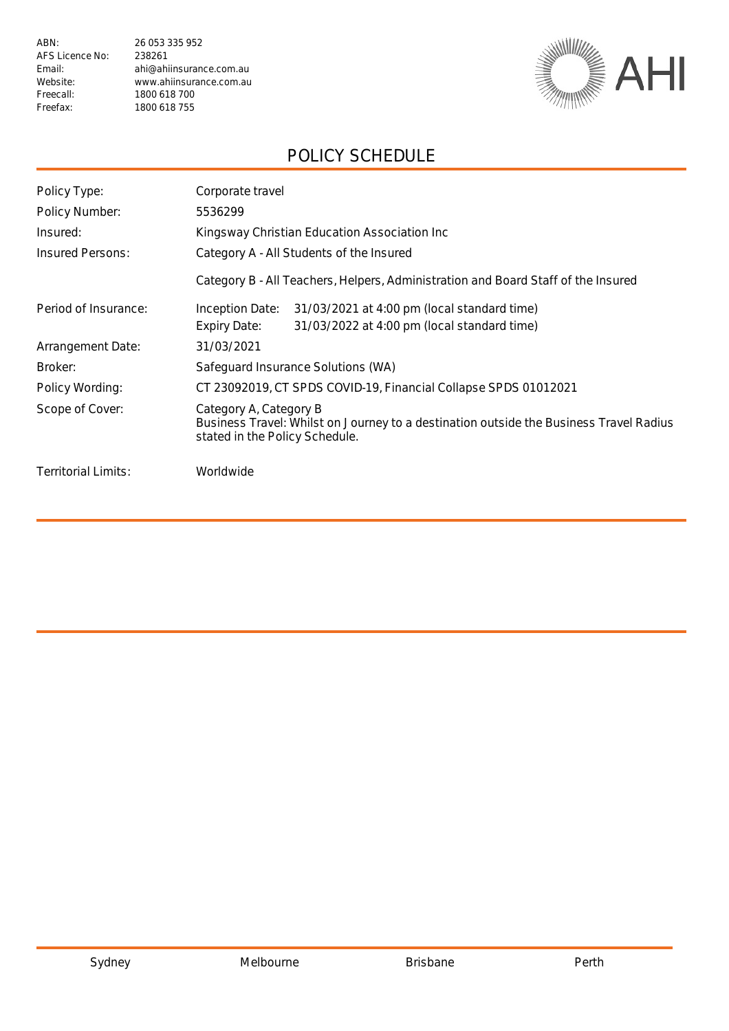ABN: 26 053 335 952 AFS Licence No: 238261 Freecall: 1800 618 700<br>Freefax: 1800 618 755

Email: ahi@ahiinsurance.com.au Website: www.ahiinsurance.com.au<br>Freecall: 1800 618 700 1800 618 755



### POLICY SCHEDULE

| Policy Type:         | Corporate travel                                                                                                                                   |  |  |
|----------------------|----------------------------------------------------------------------------------------------------------------------------------------------------|--|--|
| Policy Number:       | 5536299                                                                                                                                            |  |  |
| Insured:             | Kingsway Christian Education Association Inc                                                                                                       |  |  |
| Insured Persons:     | Category A - All Students of the Insured                                                                                                           |  |  |
|                      | Category B - All Teachers, Helpers, Administration and Board Staff of the Insured                                                                  |  |  |
| Period of Insurance: | Inception Date:<br>31/03/2021 at 4:00 pm (local standard time)                                                                                     |  |  |
|                      | 31/03/2022 at 4:00 pm (local standard time)<br>Expiry Date:                                                                                        |  |  |
| Arrangement Date:    | 31/03/2021                                                                                                                                         |  |  |
| Broker:              | Safeguard Insurance Solutions (WA)                                                                                                                 |  |  |
| Policy Wording:      | CT 23092019, CT SPDS COVID-19, Financial Collapse SPDS 01012021                                                                                    |  |  |
| Scope of Cover:      | Category A, Category B<br>Business Travel: Whilst on Journey to a destination outside the Business Travel Radius<br>stated in the Policy Schedule. |  |  |
| Territorial Limits:  | Worldwide                                                                                                                                          |  |  |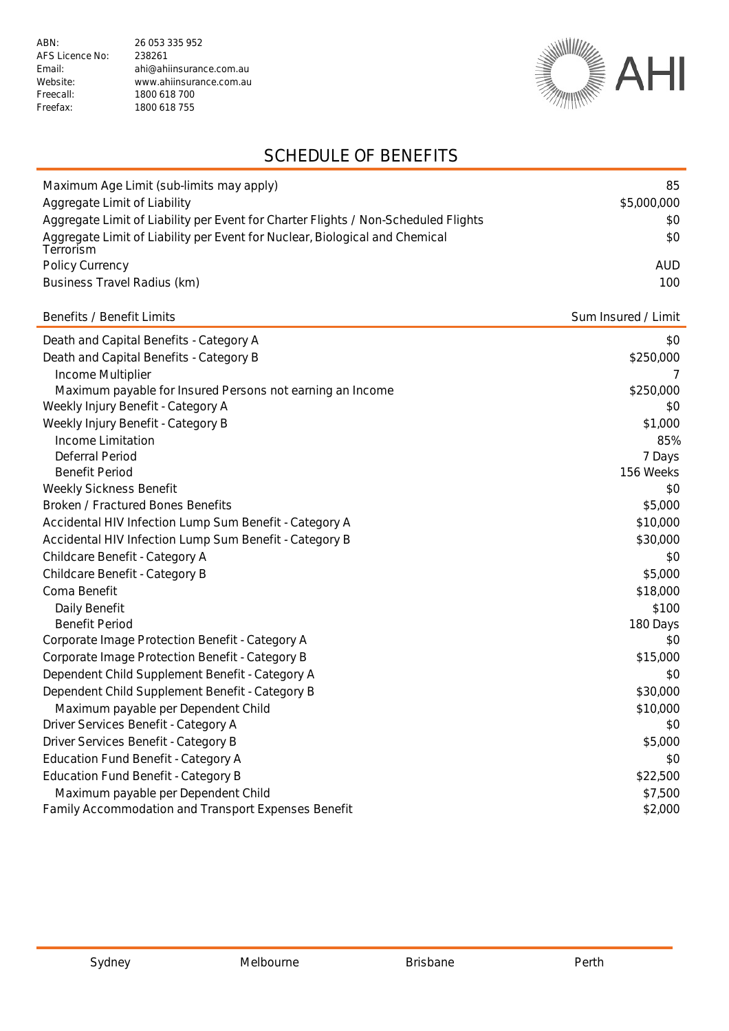1800 618 755



## SCHEDULE OF BENEFITS

| Maximum Age Limit (sub-limits may apply)                                                 | 85                  |
|------------------------------------------------------------------------------------------|---------------------|
| Aggregate Limit of Liability                                                             | \$5,000,000<br>\$0  |
| Aggregate Limit of Liability per Event for Charter Flights / Non-Scheduled Flights       |                     |
| Aggregate Limit of Liability per Event for Nuclear, Biological and Chemical<br>Terrorism | \$0                 |
| Policy Currency                                                                          | <b>AUD</b>          |
| Business Travel Radius (km)                                                              | 100                 |
|                                                                                          |                     |
| Benefits / Benefit Limits                                                                | Sum Insured / Limit |
| Death and Capital Benefits - Category A                                                  | \$0                 |
| Death and Capital Benefits - Category B                                                  | \$250,000           |
| Income Multiplier                                                                        |                     |
| Maximum payable for Insured Persons not earning an Income                                | \$250,000           |
| Weekly Injury Benefit - Category A                                                       | \$0                 |
| Weekly Injury Benefit - Category B                                                       | \$1,000             |
| Income Limitation                                                                        | 85%                 |
| Deferral Period                                                                          | 7 Days              |
| <b>Benefit Period</b>                                                                    | 156 Weeks           |
| Weekly Sickness Benefit                                                                  | \$0                 |
| <b>Broken / Fractured Bones Benefits</b>                                                 | \$5,000             |
| Accidental HIV Infection Lump Sum Benefit - Category A                                   | \$10,000            |
| Accidental HIV Infection Lump Sum Benefit - Category B                                   | \$30,000            |
| Childcare Benefit - Category A                                                           | \$0                 |
| Childcare Benefit - Category B                                                           | \$5,000             |
| Coma Benefit                                                                             | \$18,000            |
| Daily Benefit                                                                            | \$100               |
| <b>Benefit Period</b>                                                                    | 180 Days            |
| Corporate Image Protection Benefit - Category A                                          | \$0                 |
| Corporate Image Protection Benefit - Category B                                          | \$15,000            |
| Dependent Child Supplement Benefit - Category A                                          | \$0                 |
| Dependent Child Supplement Benefit - Category B                                          | \$30,000            |
| Maximum payable per Dependent Child                                                      | \$10,000            |
| Driver Services Benefit - Category A                                                     | \$0                 |
| Driver Services Benefit - Category B                                                     | \$5,000             |
| <b>Education Fund Benefit - Category A</b>                                               | \$0                 |
| <b>Education Fund Benefit - Category B</b>                                               | \$22,500            |
| Maximum payable per Dependent Child                                                      | \$7,500             |
| Family Accommodation and Transport Expenses Benefit                                      | \$2,000             |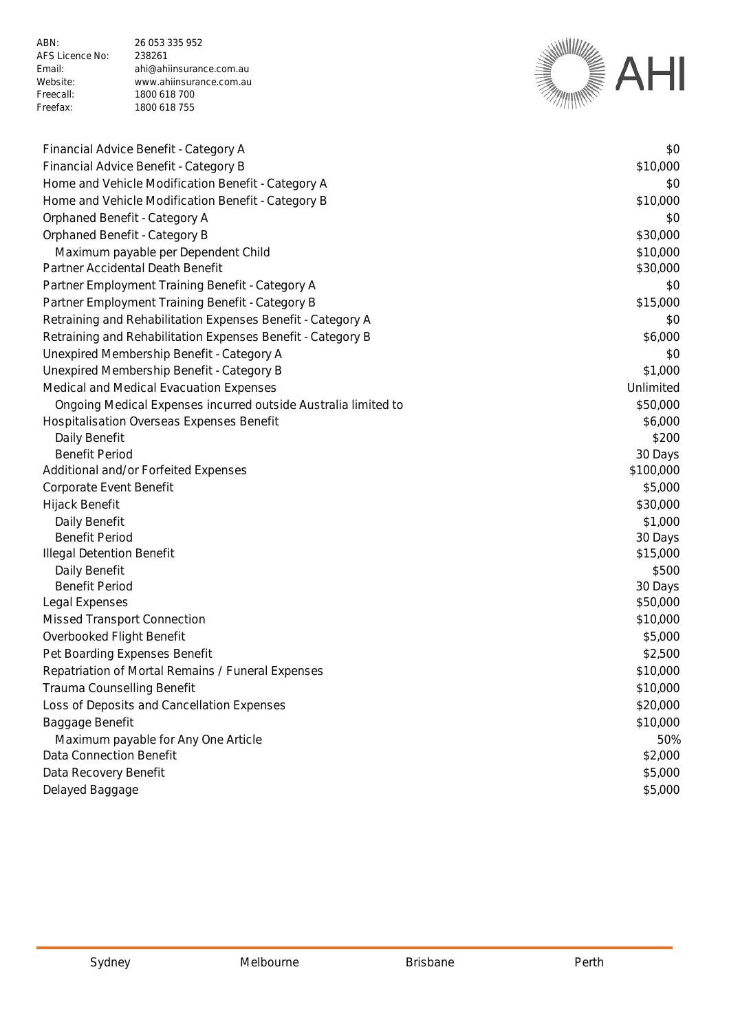ABN: 26 053 335 952 AFS Licence No: 238261 Freecall: 1800 618 700<br>Freefax: 1800 618 755

Email: ahi@ahiinsurance.com.au Website: www.ahiinsurance.com.au<br>Freecall: 1800 618 700 1800 618 755



| Financial Advice Benefit - Category A                          | \$0       |
|----------------------------------------------------------------|-----------|
| Financial Advice Benefit - Category B                          | \$10,000  |
| Home and Vehicle Modification Benefit - Category A             | \$0       |
| Home and Vehicle Modification Benefit - Category B             | \$10,000  |
| Orphaned Benefit - Category A                                  | \$0       |
| Orphaned Benefit - Category B                                  | \$30,000  |
| Maximum payable per Dependent Child                            | \$10,000  |
| Partner Accidental Death Benefit                               | \$30,000  |
| Partner Employment Training Benefit - Category A               | \$0       |
| Partner Employment Training Benefit - Category B               | \$15,000  |
| Retraining and Rehabilitation Expenses Benefit - Category A    | \$0       |
| Retraining and Rehabilitation Expenses Benefit - Category B    | \$6,000   |
| Unexpired Membership Benefit - Category A                      | \$0       |
| Unexpired Membership Benefit - Category B                      | \$1,000   |
| Medical and Medical Evacuation Expenses                        | Unlimited |
| Ongoing Medical Expenses incurred outside Australia limited to | \$50,000  |
| <b>Hospitalisation Overseas Expenses Benefit</b>               | \$6,000   |
| Daily Benefit                                                  | \$200     |
| <b>Benefit Period</b>                                          | 30 Days   |
| Additional and/or Forfeited Expenses                           | \$100,000 |
| Corporate Event Benefit                                        | \$5,000   |
| Hijack Benefit                                                 | \$30,000  |
| Daily Benefit                                                  | \$1,000   |
| <b>Benefit Period</b>                                          | 30 Days   |
| <b>Illegal Detention Benefit</b>                               | \$15,000  |
| Daily Benefit                                                  | \$500     |
| <b>Benefit Period</b>                                          | 30 Days   |
| Legal Expenses                                                 | \$50,000  |
| Missed Transport Connection                                    | \$10,000  |
| Overbooked Flight Benefit                                      | \$5,000   |
| Pet Boarding Expenses Benefit                                  | \$2,500   |
| Repatriation of Mortal Remains / Funeral Expenses              | \$10,000  |
| Trauma Counselling Benefit                                     | \$10,000  |
| Loss of Deposits and Cancellation Expenses                     | \$20,000  |
| Baggage Benefit                                                | \$10,000  |
| Maximum payable for Any One Article                            | 50%       |
| Data Connection Benefit                                        | \$2,000   |
| Data Recovery Benefit                                          | \$5,000   |
| Delayed Baggage                                                | \$5,000   |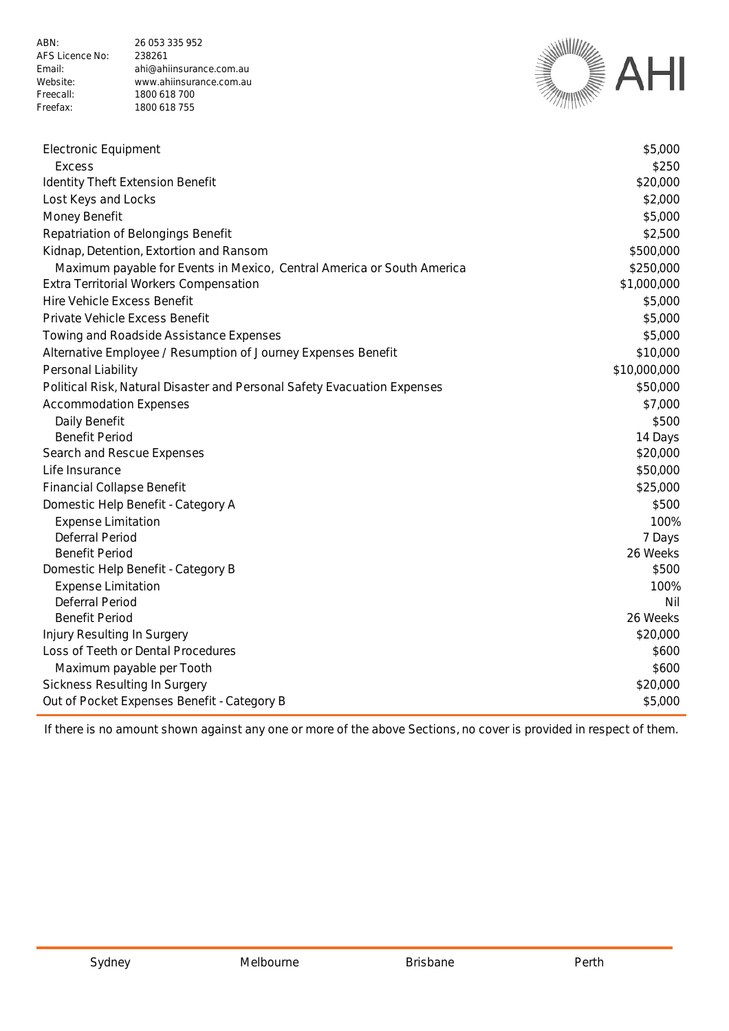ABN: 26 053 335 952 AFS Licence No: 238261 Email: ahi@ahiinsurance.com.au Website: www.ahiinsurance.com.au<br>Freecall: 1800 618 700 Freecall: 1800 618 700<br>Freefax: 1800 618 755 1800 618 755



| <b>Electronic Equipment</b>                                              | \$5,000      |
|--------------------------------------------------------------------------|--------------|
| <b>Excess</b>                                                            | \$250        |
| <b>Identity Theft Extension Benefit</b>                                  | \$20,000     |
| Lost Keys and Locks                                                      | \$2,000      |
| Money Benefit                                                            | \$5,000      |
| Repatriation of Belongings Benefit                                       | \$2,500      |
| Kidnap, Detention, Extortion and Ransom                                  | \$500,000    |
| Maximum payable for Events in Mexico, Central America or South America   | \$250,000    |
| Extra Territorial Workers Compensation                                   | \$1,000,000  |
| Hire Vehicle Excess Benefit                                              | \$5,000      |
| Private Vehicle Excess Benefit                                           | \$5,000      |
| Towing and Roadside Assistance Expenses                                  | \$5,000      |
| Alternative Employee / Resumption of Journey Expenses Benefit            | \$10,000     |
| Personal Liability                                                       | \$10,000,000 |
| Political Risk, Natural Disaster and Personal Safety Evacuation Expenses | \$50,000     |
| <b>Accommodation Expenses</b>                                            | \$7,000      |
| Daily Benefit                                                            | \$500        |
| <b>Benefit Period</b>                                                    | 14 Days      |
| Search and Rescue Expenses                                               | \$20,000     |
| Life Insurance                                                           | \$50,000     |
| <b>Financial Collapse Benefit</b>                                        | \$25,000     |
| Domestic Help Benefit - Category A                                       | \$500        |
| <b>Expense Limitation</b>                                                | 100%         |
| Deferral Period                                                          | 7 Days       |
| <b>Benefit Period</b>                                                    | 26 Weeks     |
| Domestic Help Benefit - Category B                                       | \$500        |
| <b>Expense Limitation</b>                                                | 100%         |
| <b>Deferral Period</b>                                                   | Nil          |
| <b>Benefit Period</b>                                                    | 26 Weeks     |
| Injury Resulting In Surgery                                              | \$20,000     |
| Loss of Teeth or Dental Procedures                                       | \$600        |
| Maximum payable per Tooth                                                | \$600        |
| Sickness Resulting In Surgery                                            | \$20,000     |
| Out of Pocket Expenses Benefit - Category B                              | \$5,000      |

If there is no amount shown against any one or more of the above Sections, no cover is provided in respect of them.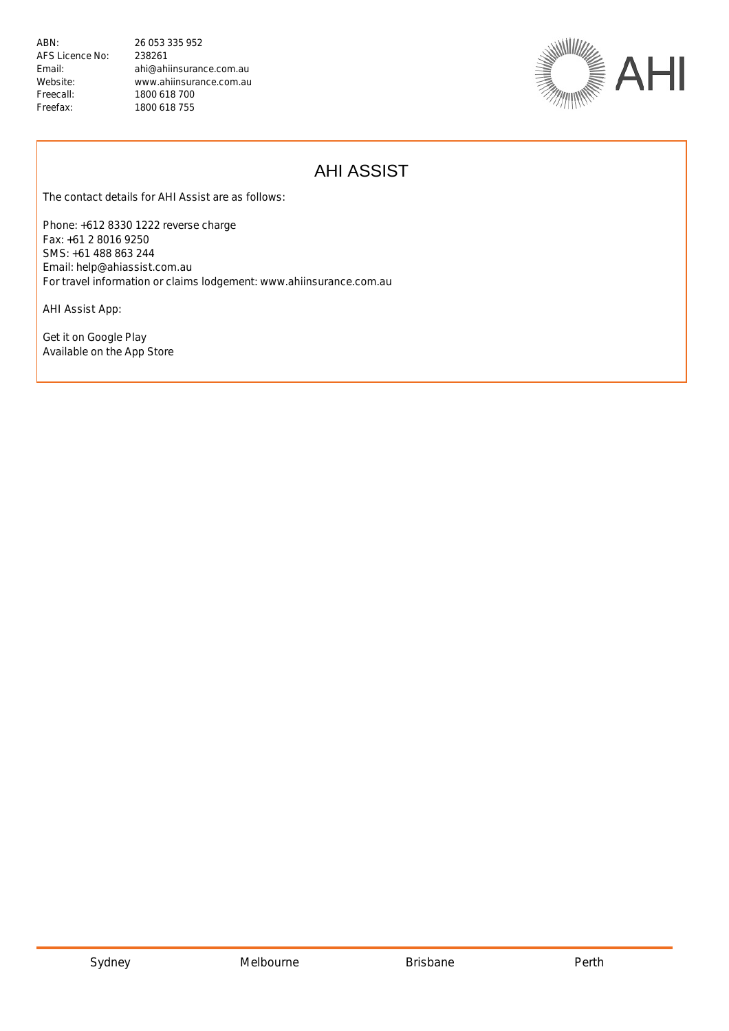Email: ahi@ahiinsurance.com.au Website: www.ahiinsurance.com.au 1800 618 755



# AHI ASSIST

The contact details for AHI Assist are as follows:

Phone: +612 8330 1222 reverse charge Fax: +61 2 8016 9250 SMS: +61 488 863 244 Email: help@ahiassist.com.au For travel information or claims lodgement: www.ahiinsurance.com.au

AHI Assist App:

Get it on Google Play Available on the App Store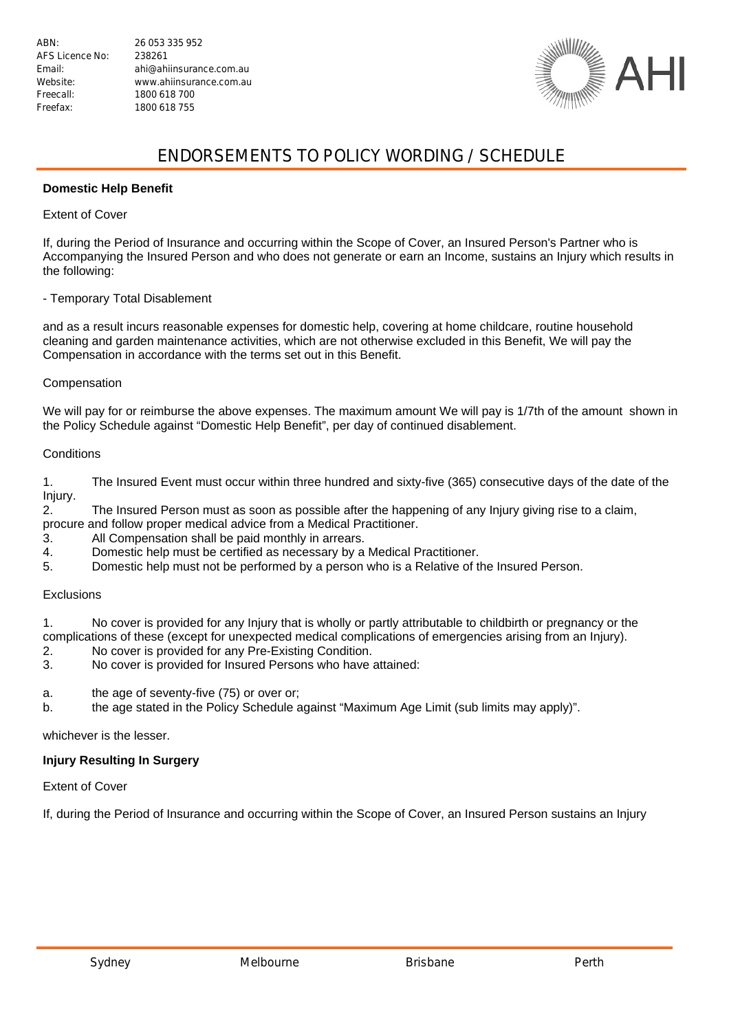Email: ahi@ahiinsurance.com.au Website: www.ahiinsurance.com.au



### ENDORSEMENTS TO POLICY WORDING / SCHEDULE

#### **Domestic Help Benefit**

#### Extent of Cover

If, during the Period of Insurance and occurring within the Scope of Cover, an Insured Person's Partner who is Accompanying the Insured Person and who does not generate or earn an Income, sustains an Injury which results in the following:

#### - Temporary Total Disablement

and as a result incurs reasonable expenses for domestic help, covering at home childcare, routine household cleaning and garden maintenance activities, which are not otherwise excluded in this Benefit, We will pay the Compensation in accordance with the terms set out in this Benefit.

#### Compensation

We will pay for or reimburse the above expenses. The maximum amount We will pay is 1/7th of the amount shown in the Policy Schedule against "Domestic Help Benefit", per day of continued disablement.

#### **Conditions**

1. The Insured Event must occur within three hundred and sixty-five (365) consecutive days of the date of the Injury.

2. The Insured Person must as soon as possible after the happening of any Injury giving rise to a claim, procure and follow proper medical advice from a Medical Practitioner.

- 3. All Compensation shall be paid monthly in arrears.
- 4. Domestic help must be certified as necessary by a Medical Practitioner.
- 5. Domestic help must not be performed by a person who is a Relative of the Insured Person.

#### **Exclusions**

1. No cover is provided for any Injury that is wholly or partly attributable to childbirth or pregnancy or the complications of these (except for unexpected medical complications of emergencies arising from an Injury).

- 2. No cover is provided for any Pre-Existing Condition.<br>3. No cover is provided for Insured Persons who have
- No cover is provided for Insured Persons who have attained:
- a. the age of seventy-five (75) or over or;
- b. the age stated in the Policy Schedule against "Maximum Age Limit (sub limits may apply)".

whichever is the lesser.

### **Injury Resulting In Surgery**

Extent of Cover

If, during the Period of Insurance and occurring within the Scope of Cover, an Insured Person sustains an Injury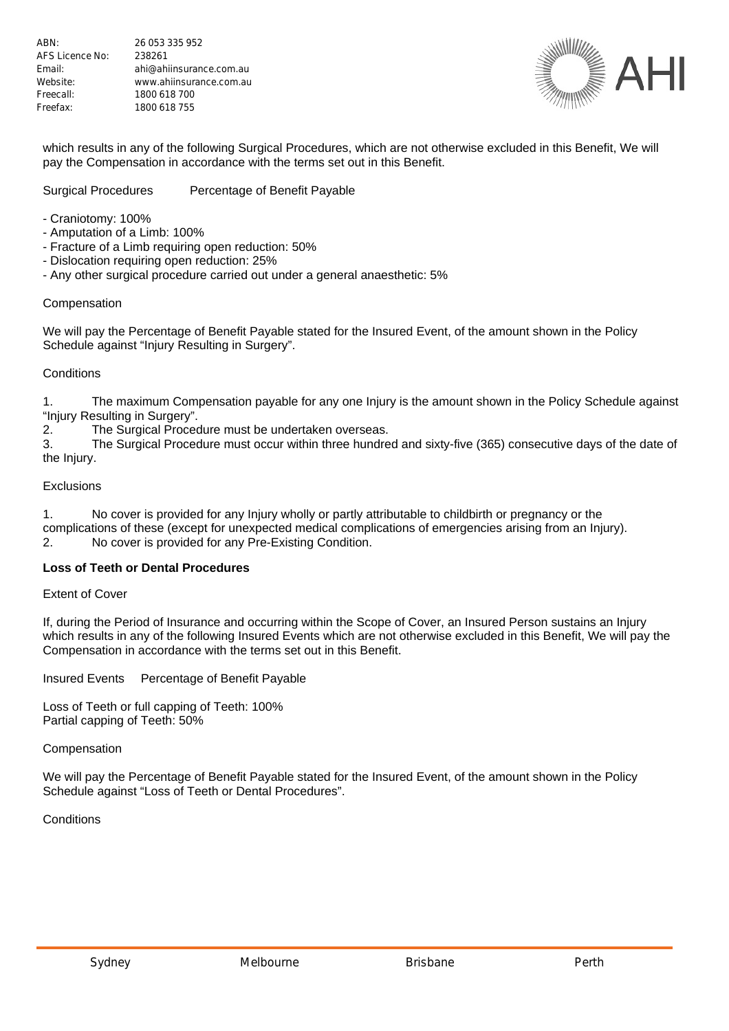

which results in any of the following Surgical Procedures, which are not otherwise excluded in this Benefit, We will pay the Compensation in accordance with the terms set out in this Benefit.

#### Surgical Procedures Percentage of Benefit Payable

- Craniotomy: 100%
- Amputation of a Limb: 100%
- Fracture of a Limb requiring open reduction: 50%
- Dislocation requiring open reduction: 25%
- Any other surgical procedure carried out under a general anaesthetic: 5%

#### Compensation

We will pay the Percentage of Benefit Payable stated for the Insured Event, of the amount shown in the Policy Schedule against "Injury Resulting in Surgery".

#### **Conditions**

1. The maximum Compensation payable for any one Injury is the amount shown in the Policy Schedule against "Injury Resulting in Surgery".

2. The Surgical Procedure must be undertaken overseas.

3. The Surgical Procedure must occur within three hundred and sixty-five (365) consecutive days of the date of the Injury.

#### **Exclusions**

1. No cover is provided for any Injury wholly or partly attributable to childbirth or pregnancy or the complications of these (except for unexpected medical complications of emergencies arising from an Injury). 2. No cover is provided for any Pre-Existing Condition.

#### **Loss of Teeth or Dental Procedures**

Extent of Cover

If, during the Period of Insurance and occurring within the Scope of Cover, an Insured Person sustains an Injury which results in any of the following Insured Events which are not otherwise excluded in this Benefit, We will pay the Compensation in accordance with the terms set out in this Benefit.

Insured Events Percentage of Benefit Payable

Loss of Teeth or full capping of Teeth: 100% Partial capping of Teeth: 50%

#### Compensation

We will pay the Percentage of Benefit Payable stated for the Insured Event, of the amount shown in the Policy Schedule against "Loss of Teeth or Dental Procedures".

**Conditions**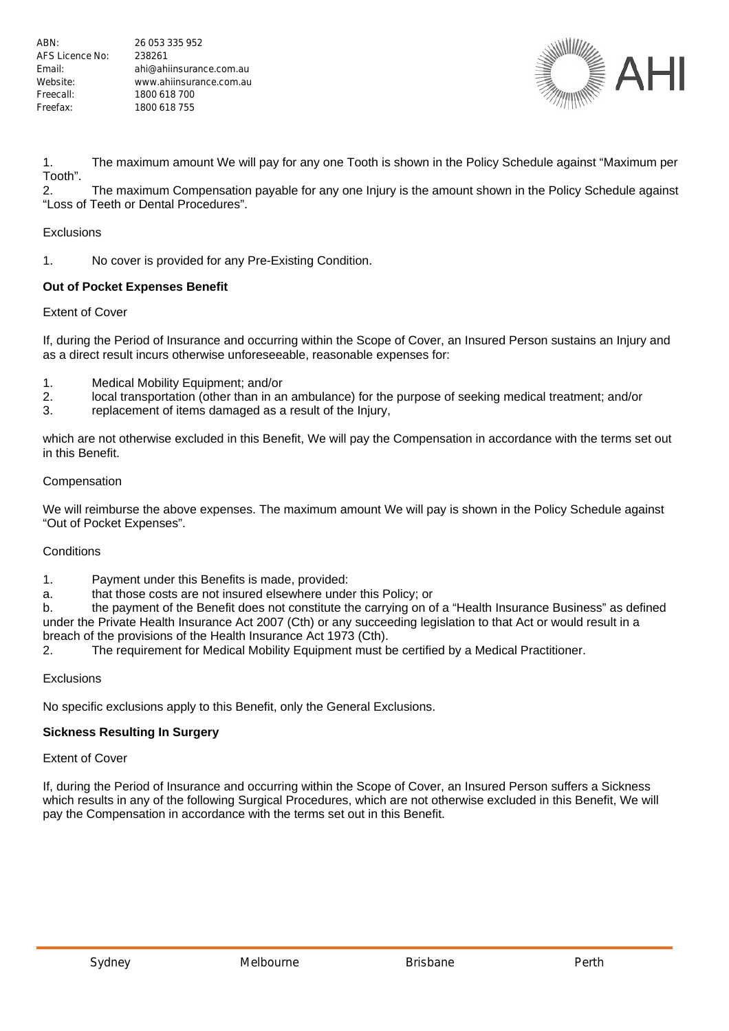

1. The maximum amount We will pay for any one Tooth is shown in the Policy Schedule against "Maximum per Tooth".

2. The maximum Compensation payable for any one Injury is the amount shown in the Policy Schedule against "Loss of Teeth or Dental Procedures".

#### **Exclusions**

1. No cover is provided for any Pre-Existing Condition.

#### **Out of Pocket Expenses Benefit**

#### Extent of Cover

If, during the Period of Insurance and occurring within the Scope of Cover, an Insured Person sustains an Injury and as a direct result incurs otherwise unforeseeable, reasonable expenses for:

- 1. Medical Mobility Equipment; and/or
- 2. local transportation (other than in an ambulance) for the purpose of seeking medical treatment; and/or
- 3. replacement of items damaged as a result of the Injury,

which are not otherwise excluded in this Benefit, We will pay the Compensation in accordance with the terms set out in this Benefit.

#### Compensation

We will reimburse the above expenses. The maximum amount We will pay is shown in the Policy Schedule against "Out of Pocket Expenses".

#### **Conditions**

- 1. Payment under this Benefits is made, provided:
- a. that those costs are not insured elsewhere under this Policy; or

b. the payment of the Benefit does not constitute the carrying on of a "Health Insurance Business" as defined under the Private Health Insurance Act 2007 (Cth) or any succeeding legislation to that Act or would result in a breach of the provisions of the Health Insurance Act 1973 (Cth).

2. The requirement for Medical Mobility Equipment must be certified by a Medical Practitioner.

#### Exclusions

No specific exclusions apply to this Benefit, only the General Exclusions.

#### **Sickness Resulting In Surgery**

Extent of Cover

If, during the Period of Insurance and occurring within the Scope of Cover, an Insured Person suffers a Sickness which results in any of the following Surgical Procedures, which are not otherwise excluded in this Benefit, We will pay the Compensation in accordance with the terms set out in this Benefit.